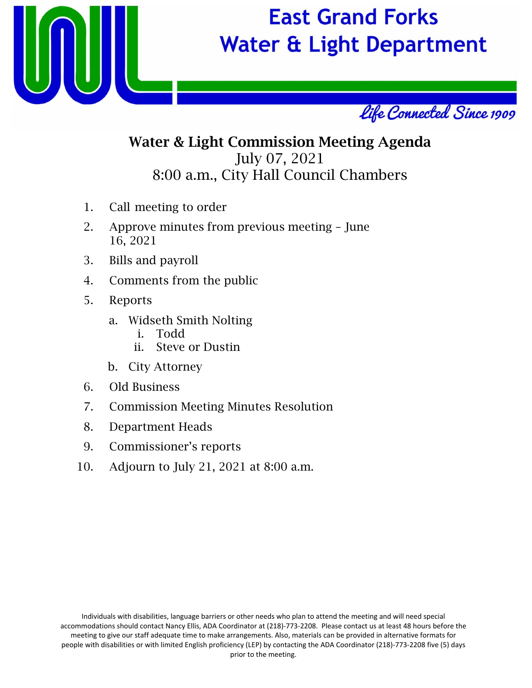

# **East Grand Forks Water & Light Department**



## Water & Light Commission Meeting Agenda July 07, 2021 8:00 a.m., City Hall Council Chambers

- 1. Call meeting to order
- 2. Approve minutes from previous meeting June 16, 2021
- 3. Bills and payroll
- 4. Comments from the public
- 5. Reports
	- a. Widseth Smith Nolting
		- i. Todd
		- ii. Steve or Dustin
	- b. City Attorney
- 6. Old Business
- 7. Commission Meeting Minutes Resolution
- 8. Department Heads
- 9. Commissioner's reports
- 10. Adjourn to July 21, 2021 at 8:00 a.m.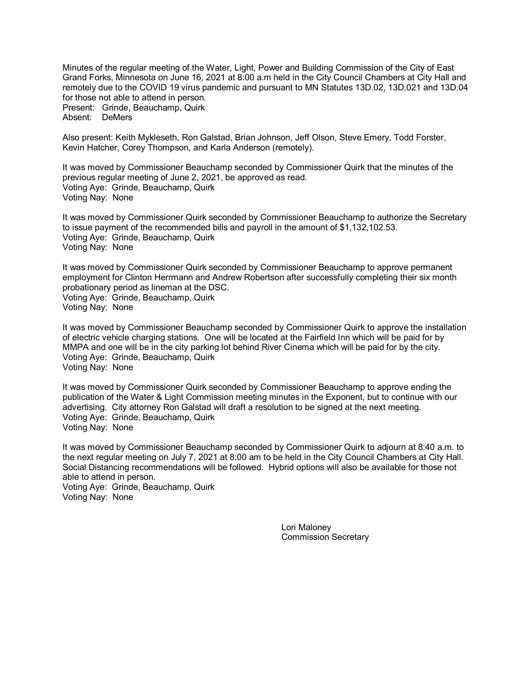Minutes of the regular meeting of the Water, Light, Power and Building Commission of the City of East Grand Forks, Minnesota on June 16, 2021 at 8:00 a.m held in the City Council Chambers at City Hall and remotely due to the COVID 19 virus pandemic and pursuant to MN Statutes 13D.02, 13D.021 and 13D.04 for those not able to attend in person. Present: Grinde, Beauchamp, Quirk Absent: DeMers

Also present: Keith Mykleseth, Ron Galstad, Brian Johnson, Jeff Olson, Steve Emery, Todd Forster, Kevin Hatcher, Corey Thompson, and Karla Anderson (remotely).

It was moved by Commissioner Beauchamp seconded by Commissioner Quirk that the minutes of the previous regular meeting of June 2, 2021, be approved as read. Voting Aye: Grinde, Beauchamp, Quirk Voting Nay: None

It was moved by Commissioner Quirk seconded by Commissioner Beauchamp to authorize the Secretary to issue payment of the recommended bills and payroll in the amount of \$1,132,102.53. Voting Aye: Grinde, Beauchamp, Quirk Voting Nay: None

It was moved by Commissioner Quirk seconded by Commissioner Beauchamp to approve permanent employment for Clinton Herrmann and Andrew Robertson after successfully completing their six month probationary period as lineman at the DSC. Voting Aye: Grinde, Beauchamp, Quirk Voting Nay: None

It was moved by Commissioner Beauchamp seconded by Commissioner Quirk to approve the installation of electric vehicle charging stations. One will be located at the Fairfield Inn which will be paid for by MMPA and one will be in the city parking lot behind River Cinema which will be paid for by the city. Voting Aye: Grinde, Beauchamp, Quirk Voting Nay: None

It was moved by Commissioner Quirk seconded by Commissioner Beauchamp to approve ending the publication of the Water & Light Commission meeting minutes in the Exponent, but to continue with our advertising. City attorney Ron Galstad will draft a resolution to be signed at the next meeting. Voting Aye: Grinde, Beauchamp, Quirk Voting Nay: None

It was moved by Commissioner Beauchamp seconded by Commissioner Quirk to adjourn at 8:40 a.m. to the next regular meeting on July 7, 2021 at 8:00 am to be held in the City Council Chambers at City Hall. Social Distancing recommendations will be followed. Hybrid options will also be available for those not able to attend in person.

Voting Aye: Grinde, Beauchamp, Quirk Voting Nay: None

> Lori Maloney Commission Secretary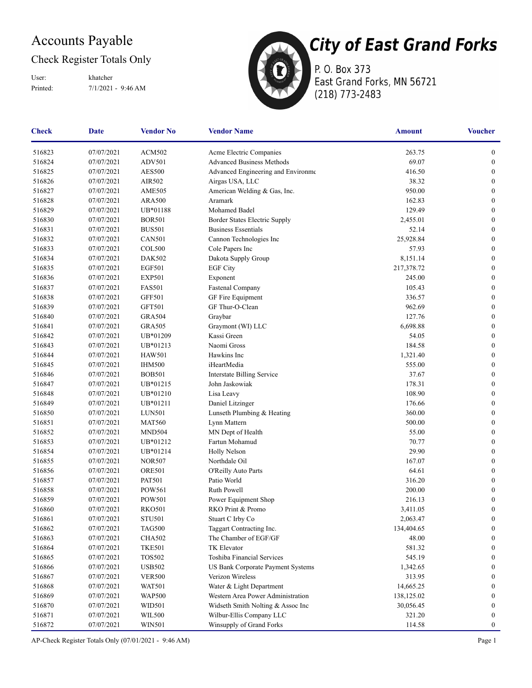### Accounts Payable

### Check Register Totals Only

Printed: 7/1/2021 - 9:46 AM User: khatcher



P. O. Box 373 East Grand Forks, MN 56721 (218) 773-2483

| <b>Check</b> | <b>Date</b> | <b>Vendor No</b> | <b>Vendor Name</b>                       | <b>Amount</b> | <b>Voucher</b>   |
|--------------|-------------|------------------|------------------------------------------|---------------|------------------|
| 516823       | 07/07/2021  | <b>ACM502</b>    | Acme Electric Companies                  | 263.75        | $\boldsymbol{0}$ |
| 516824       | 07/07/2021  | <b>ADV501</b>    | <b>Advanced Business Methods</b>         | 69.07         | $\boldsymbol{0}$ |
| 516825       | 07/07/2021  | <b>AES500</b>    | Advanced Engineering and Environme       | 416.50        | $\boldsymbol{0}$ |
| 516826       | 07/07/2021  | AIR502           | Airgas USA, LLC                          | 38.32         | $\boldsymbol{0}$ |
| 516827       | 07/07/2021  | <b>AME505</b>    | American Welding & Gas, Inc.             | 950.00        | $\boldsymbol{0}$ |
| 516828       | 07/07/2021  | <b>ARA500</b>    | Aramark                                  | 162.83        | $\boldsymbol{0}$ |
| 516829       | 07/07/2021  | UB*01188         | Mohamed Badel                            | 129.49        | $\boldsymbol{0}$ |
| 516830       | 07/07/2021  | <b>BOR501</b>    | Border States Electric Supply            | 2,455.01      | $\boldsymbol{0}$ |
| 516831       | 07/07/2021  | <b>BUS501</b>    | <b>Business Essentials</b>               | 52.14         | $\overline{0}$   |
| 516832       | 07/07/2021  | <b>CAN501</b>    | Cannon Technologies Inc                  | 25,928.84     | $\mathbf{0}$     |
| 516833       | 07/07/2021  | <b>COL500</b>    | Cole Papers Inc                          | 57.93         | $\boldsymbol{0}$ |
| 516834       | 07/07/2021  | <b>DAK502</b>    | Dakota Supply Group                      | 8,151.14      | $\boldsymbol{0}$ |
| 516835       | 07/07/2021  | <b>EGF501</b>    | <b>EGF City</b>                          | 217,378.72    | 0                |
| 516836       | 07/07/2021  | <b>EXP501</b>    | Exponent                                 | 245.00        | $\boldsymbol{0}$ |
| 516837       | 07/07/2021  | <b>FAS501</b>    | Fastenal Company                         | 105.43        | $\boldsymbol{0}$ |
| 516838       | 07/07/2021  | <b>GFF501</b>    | GF Fire Equipment                        | 336.57        | $\overline{0}$   |
| 516839       | 07/07/2021  | GFT501           | GF Thur-O-Clean                          | 962.69        | $\overline{0}$   |
| 516840       | 07/07/2021  | <b>GRA504</b>    | Graybar                                  | 127.76        | $\boldsymbol{0}$ |
| 516841       | 07/07/2021  | <b>GRA505</b>    | Graymont (WI) LLC                        | 6,698.88      | $\boldsymbol{0}$ |
| 516842       | 07/07/2021  | UB*01209         | Kassi Green                              | 54.05         | $\boldsymbol{0}$ |
| 516843       | 07/07/2021  | UB*01213         | Naomi Gross                              | 184.58        | $\boldsymbol{0}$ |
| 516844       | 07/07/2021  | <b>HAW501</b>    | Hawkins Inc                              | 1,321.40      | 0                |
| 516845       | 07/07/2021  | <b>IHM500</b>    | iHeartMedia                              | 555.00        | $\overline{0}$   |
| 516846       | 07/07/2021  | <b>BOB501</b>    | <b>Interstate Billing Service</b>        | 37.67         | $\boldsymbol{0}$ |
| 516847       | 07/07/2021  | UB*01215         | John Jaskowiak                           | 178.31        | $\boldsymbol{0}$ |
| 516848       | 07/07/2021  | UB*01210         | Lisa Leavy                               | 108.90        | $\boldsymbol{0}$ |
| 516849       | 07/07/2021  | UB*01211         | Daniel Litzinger                         | 176.66        | $\boldsymbol{0}$ |
| 516850       | 07/07/2021  | <b>LUN501</b>    | Lunseth Plumbing & Heating               | 360.00        | $\boldsymbol{0}$ |
| 516851       | 07/07/2021  | <b>MAT560</b>    | Lynn Mattern                             | 500.00        | $\overline{0}$   |
| 516852       | 07/07/2021  | MND504           | MN Dept of Health                        | 55.00         | $\overline{0}$   |
| 516853       | 07/07/2021  | UB*01212         | Fartun Mohamud                           | 70.77         | $\boldsymbol{0}$ |
| 516854       | 07/07/2021  | UB*01214         | <b>Holly Nelson</b>                      | 29.90         | $\boldsymbol{0}$ |
| 516855       | 07/07/2021  | <b>NOR507</b>    | Northdale Oil                            | 167.07        | $\boldsymbol{0}$ |
| 516856       | 07/07/2021  | <b>ORE501</b>    | O'Reilly Auto Parts                      | 64.61         | $\boldsymbol{0}$ |
| 516857       | 07/07/2021  | <b>PAT501</b>    | Patio World                              | 316.20        | $\boldsymbol{0}$ |
| 516858       | 07/07/2021  | <b>POW561</b>    | Ruth Powell                              | 200.00        | $\overline{0}$   |
| 516859       | 07/07/2021  | <b>POW501</b>    | Power Equipment Shop                     | 216.13        | $\boldsymbol{0}$ |
| 516860       | 07/07/2021  | <b>RKO501</b>    | RKO Print & Promo                        | 3,411.05      | $\boldsymbol{0}$ |
| 516861       | 07/07/2021  | <b>STU501</b>    | Stuart C Irby Co                         | 2,063.47      | $\boldsymbol{0}$ |
| 516862       | 07/07/2021  | <b>TAG500</b>    | Taggart Contracting Inc.                 | 134,404.65    | $\boldsymbol{0}$ |
| 516863       | 07/07/2021  | <b>CHA502</b>    | The Chamber of EGF/GF                    | 48.00         | $\boldsymbol{0}$ |
| 516864       | 07/07/2021  | <b>TKE501</b>    | <b>TK</b> Elevator                       | 581.32        | $\bf{0}$         |
| 516865       | 07/07/2021  | <b>TOS502</b>    | <b>Toshiba Financial Services</b>        | 545.19        | $\bf{0}$         |
| 516866       | 07/07/2021  | <b>USB502</b>    | <b>US Bank Corporate Payment Systems</b> | 1,342.65      | $\bf{0}$         |
| 516867       | 07/07/2021  | <b>VER500</b>    | Verizon Wireless                         | 313.95        | $\bf{0}$         |
| 516868       | 07/07/2021  | <b>WAT501</b>    | Water & Light Department                 | 14,665.25     | 0                |
| 516869       | 07/07/2021  | <b>WAP500</b>    | Western Area Power Administration        | 138,125.02    | 0                |
| 516870       | 07/07/2021  | WID501           | Widseth Smith Nolting & Assoc Inc        | 30,056.45     | 0                |
| 516871       | 07/07/2021  | <b>WIL500</b>    | Wilbur-Ellis Company LLC                 | 321.20        | $\overline{0}$   |
| 516872       | 07/07/2021  | <b>WIN501</b>    | Winsupply of Grand Forks                 | 114.58        | $\boldsymbol{0}$ |

AP-Check Register Totals Only (07/01/2021 - 9:46 AM) Page 1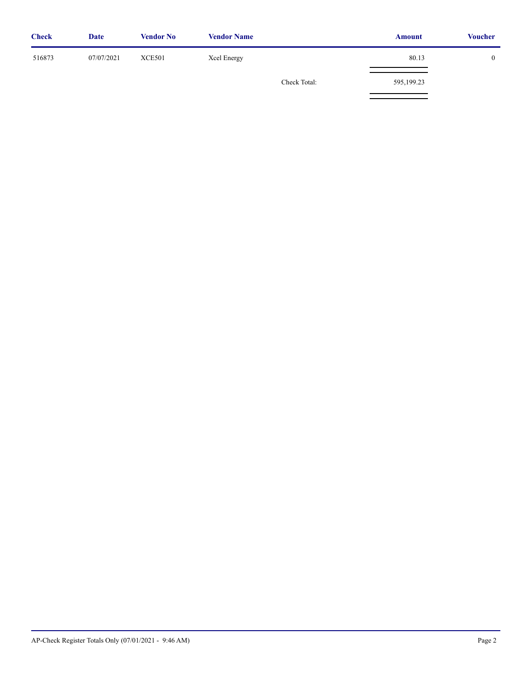| <b>Check</b> | <b>Date</b> | <b>Vendor No</b> | <b>Vendor Name</b> |              | <b>Amount</b> | <b>Voucher</b> |
|--------------|-------------|------------------|--------------------|--------------|---------------|----------------|
| 516873       | 07/07/2021  | <b>XCE501</b>    | Xcel Energy        |              | 80.13         |                |
|              |             |                  |                    | Check Total: | 595,199.23    |                |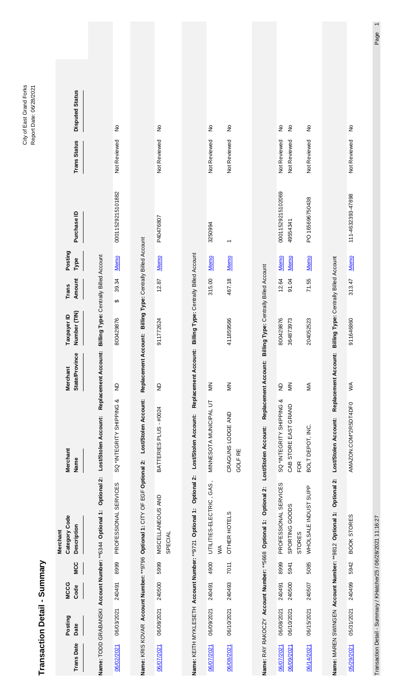| Transa                   | ction Detail - Summary   |                     |              |                                                                              |                                                  |                                                             |                                          |                 |                     |                               |                              |                                |  |
|--------------------------|--------------------------|---------------------|--------------|------------------------------------------------------------------------------|--------------------------------------------------|-------------------------------------------------------------|------------------------------------------|-----------------|---------------------|-------------------------------|------------------------------|--------------------------------|--|
| <b>Trans Date</b>        | Posting<br>Date          | <b>MCCG</b><br>Code | <b>MCC</b>   | Category Code<br><b>Description</b><br><b>Merchant</b>                       | Merchant<br>Name                                 | State/Province<br>Merchant                                  | Number (TIN)<br>Taxpayer ID              | Amount<br>Trans | Posting<br>Туре     | Purchase ID                   | <b>Trans Status</b>          | <b>Disputed Status</b>         |  |
|                          |                          |                     |              | Name: TODD GRABANSKI Account Number: ** 6344 Optional 1: Optional 2:         | Lost/Stolen Account:                             | Replacement Account:                                        | Billing Type: Centrally Billed Account   |                 |                     |                               |                              |                                |  |
| 06/02/2021               | 06/03/2021               | 240491              | 8999         | PROFESSIONAL SERVICES                                                        | SQ *INTEGRITY SHIPPING &                         | $\overline{z}$                                              | ↮<br>800429876                           | 39.34           | Memo                | 00011529215101882             | Not Reviewed                 | $\frac{1}{2}$                  |  |
|                          |                          |                     |              | Name: KRIS KOVAR Account Number: ** 9796 Optional 1: CITY OF EGF Optional 2: | Lost/Stolen Account:                             | Replacement Account: Billing Type: Centrally Billed Account |                                          |                 |                     |                               |                              |                                |  |
| 06/07/2021               | 06/08/2021               | 240500              | 5999         | MISCELLANEOUS AND<br>SPECIAL                                                 | BATTERIES PLUS - #0024                           | $\Xi$                                                       | 1772624<br>ଚ                             | 12.87           | <u>Memo</u>         | P40476807                     | Not Reviewed                 | $\frac{1}{2}$                  |  |
|                          |                          |                     |              | Optional 2:<br>Name: KEITH MYKLESETH Account Number: **9721 Optional 1:      | Lost/Stolen Account:                             | Replacement Account:                                        | Billing Type: Centrally Billed Account   |                 |                     |                               |                              |                                |  |
| 06/07/2021               | 06/09/2021               | 240491              | 4900         | UTILITIES-ELECTRIC, GAS,<br>$\leq$                                           | MINNESOTA MUNICIPAL UT                           | $\leq$                                                      |                                          | 315.00          | Memo                | 3250994                       | Not Reviewed                 | $\frac{1}{2}$                  |  |
| 06/08/2021               | 06/10/2021               | 240493              | 7011         | OTHER HOTELS                                                                 | CRAGUNS LODGE AND<br>GOLF RE                     | $\leq$                                                      | 1859566<br>$\hat{A}$                     | 467.18          | <u>Memo</u>         |                               | Not Reviewed                 | $\frac{1}{2}$                  |  |
|                          |                          |                     |              | Optional 2:<br>Name: RAY RAKOCZY Account Number: ** 5668 Optional 1:         | Lost/Stolen Account:                             | Billing<br>Replacement Account:                             | Type: Centrally Billed Account           |                 |                     |                               |                              |                                |  |
| 06/07/2021<br>06/09/2021 | 06/08/2021<br>06/10/2021 | 240500<br>240491    | 8999<br>5941 | PROFESSIONAL SERVICES<br>SPORTING GOODS                                      | SQ *INTEGRITY SHIPPING &<br>CAB STORE EAST GRAND | $\leq$<br>$\overline{z}$                                    | 800429876<br>364873973                   | 12.64<br>91.04  | Memo<br><b>Memo</b> | 00011529215102069<br>49554341 | Not Reviewed<br>Not Reviewed | $\frac{1}{2}$<br>$\frac{1}{2}$ |  |
| 06/14/2021               | 06/15/2021               | 240507              | 5085         | WHOLSALE INDUST SUPP<br><b>STORES</b>                                        | BOLT DEPOT, INC.<br>FOR                          | ŃМ                                                          | 204052523                                | 71.55           | Memo                | PO 165696750438               | Not Reviewed                 | $\frac{1}{2}$                  |  |
|                          |                          |                     |              | Name: MAREN SWINGEN Account Number: **9812 Optional 1: Optional 2:           | Lost/Stolen Account:                             | Replacement Account:                                        | ling Type: Centrally Billed Account<br>ä |                 |                     |                               |                              |                                |  |
| 05/29/2021               | 05/31/2021               | 240499              | 5942         | <b>BOOK STORES</b>                                                           | AMAZON.COM*2R5DT4DF0                             | ≸                                                           | 911646860                                | 313.47          | <b>Memo</b>         | 111-4632393-47898             | Not Reviewed                 | $\frac{1}{2}$                  |  |

City of East Grand Forks<br>Report Date: 06/28/2021 City of East Grand Forks Report Date: 06/28/2021

Transaction Detail - Summary / KHatcher25 / 06/28/2021 11:16:27

Page 1 Transaction Detail - Summary / KHatcher25 / 06/28/2021 11:16:27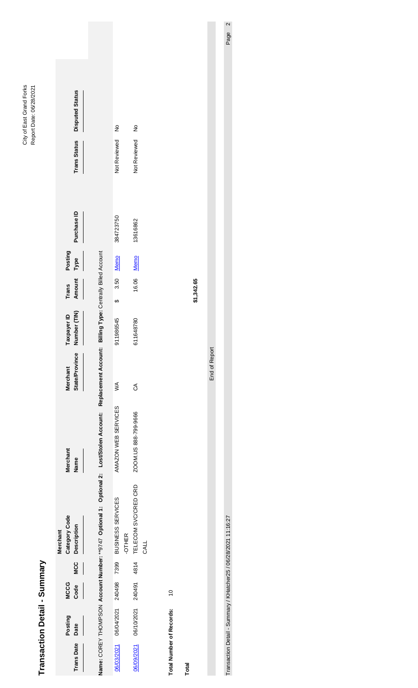| Transaction               | n Detail - Summary |                     |            |                                                                                                                                                      |                      |                                          |                             |                 |                 |             |                     |                        |                           |
|---------------------------|--------------------|---------------------|------------|------------------------------------------------------------------------------------------------------------------------------------------------------|----------------------|------------------------------------------|-----------------------------|-----------------|-----------------|-------------|---------------------|------------------------|---------------------------|
| <b>Trans Date</b>         | Posting<br>Date    | <b>MCCG</b><br>Code | <b>MCC</b> | Category Code<br><b>Description</b><br>Merchant                                                                                                      | Merchant<br>Name     | <b>State/Province</b><br><b>Merchant</b> | Taxpayer ID<br>Number (TIN) | Trans<br>Amount | Posting<br>Туре | Purchase ID | <b>Trans Status</b> | <b>Disputed Status</b> |                           |
|                           |                    |                     |            | Name: COREY THOMPSON Account Number: **9747 Optional 1: Optional 2: Lost/Stolen Account: Replacement Account: Billing Type: Centrally Billed Account |                      |                                          |                             |                 |                 |             |                     |                        |                           |
| 06/03/2021                | 06/04/2021 240498  |                     | 7399       | BUSINESS SERVICES<br>-OTHER                                                                                                                          | AMAZON WEB SERVICES  | ≶                                        | $\theta$<br>911986545       | 3.50            | Memo            | 384723750   | Not Reviewed        | $\frac{1}{2}$          |                           |
| 06/09/2021                | 06/10/2021 240491  |                     | 4814       | TELECOM SVC/CRED CRD<br>CALL                                                                                                                         | ZOOM.US 888-799-9666 | S                                        | 611648780                   | 16.06           | <b>Memo</b>     | 13616862    | Not Reviewed        | $\frac{1}{2}$          |                           |
| <b>Total Number of</b>    | Records:           | $\overline{0}$      |            |                                                                                                                                                      |                      |                                          |                             |                 |                 |             |                     |                        |                           |
| Total                     |                    |                     |            |                                                                                                                                                      |                      |                                          |                             | \$1,342.65      |                 |             |                     |                        |                           |
|                           |                    |                     |            |                                                                                                                                                      |                      | End of Report                            |                             |                 |                 |             |                     |                        |                           |
| <b>Transaction Detail</b> |                    |                     |            | - Summary / KHatcher25 / 06/28/2021 11:16:27                                                                                                         |                      |                                          |                             |                 |                 |             |                     |                        | $\mathbf{\Omega}$<br>Page |

City of East Grand Forks<br>Report Date: 06/28/2021 City of East Grand Forks Report Date: 06/28/2021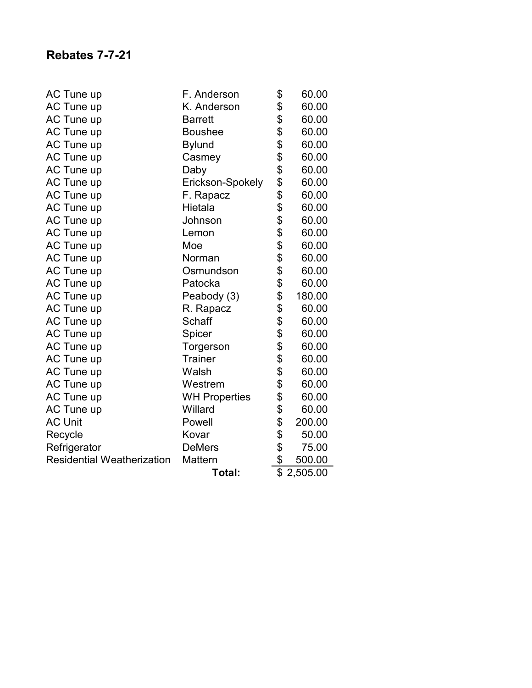| AC Tune up                        | F. Anderson          | \$              | 60.00    |
|-----------------------------------|----------------------|-----------------|----------|
| AC Tune up                        | K. Anderson          | \$              | 60.00    |
| <b>AC Tune up</b>                 | <b>Barrett</b>       | \$              | 60.00    |
| AC Tune up                        | <b>Boushee</b>       | \$              | 60.00    |
| <b>AC Tune up</b>                 | <b>Bylund</b>        | \$              | 60.00    |
| AC Tune up                        | Casmey               | \$              | 60.00    |
| <b>AC Tune up</b>                 | Daby                 | \$              | 60.00    |
| <b>AC Tune up</b>                 | Erickson-Spokely     | \$              | 60.00    |
| AC Tune up                        | F. Rapacz            | \$              | 60.00    |
| <b>AC Tune up</b>                 | Hietala              | \$              | 60.00    |
| <b>AC Tune up</b>                 | Johnson              | \$              | 60.00    |
| AC Tune up                        | Lemon                | \$              | 60.00    |
| <b>AC Tune up</b>                 | Moe                  | \$              | 60.00    |
| AC Tune up                        | Norman               | \$              | 60.00    |
| <b>AC Tune up</b>                 | Osmundson            | \$              | 60.00    |
| AC Tune up                        | Patocka              | \$              | 60.00    |
| <b>AC Tune up</b>                 | Peabody (3)          | \$              | 180.00   |
| AC Tune up                        | R. Rapacz            | \$              | 60.00    |
| <b>AC Tune up</b>                 | Schaff               | \$              | 60.00    |
| <b>AC Tune up</b>                 | Spicer               | \$              | 60.00    |
| AC Tune up                        | Torgerson            | \$              | 60.00    |
| AC Tune up                        | <b>Trainer</b>       | \$              | 60.00    |
| AC Tune up                        | Walsh                | \$              | 60.00    |
| AC Tune up                        | Westrem              | \$              | 60.00    |
| <b>AC Tune up</b>                 | <b>WH Properties</b> | \$              | 60.00    |
| AC Tune up                        | Willard              | \$              | 60.00    |
| <b>AC Unit</b>                    | Powell               | \$              | 200.00   |
| Recycle                           | Kovar                | \$              | 50.00    |
| Refrigerator                      | <b>DeMers</b>        | \$              | 75.00    |
| <b>Residential Weatherization</b> | Mattern              | \$              | 500.00   |
|                                   | Total:               | $\overline{\$}$ | 2,505.00 |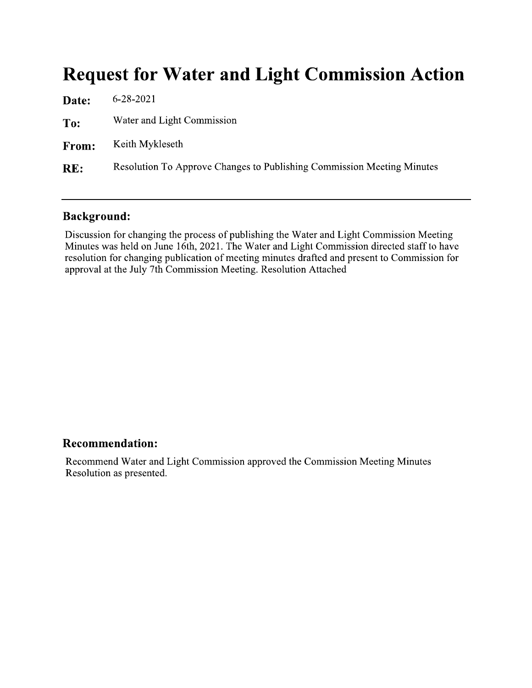# **Request for Water and Light Commission Action**

| Date: | $6 - 28 - 2021$                                                        |
|-------|------------------------------------------------------------------------|
| To:   | Water and Light Commission                                             |
| From: | Keith Mykleseth                                                        |
| RE:   | Resolution To Approve Changes to Publishing Commission Meeting Minutes |
|       |                                                                        |

### **Background:**

Discussion for changing the process of publishing the Water and Light Commission Meeting Minutes was held on June 16th, 2021. The Water and Light Commission directed staff to have resolution for changing publication of meeting minutes drafted and present to Commission for approval at the July 7th Commission Meeting. Resolution Attached

### **Recommendation:**

Recommend Water and Light Commission approved the Commission Meeting Minutes Resolution as presented.